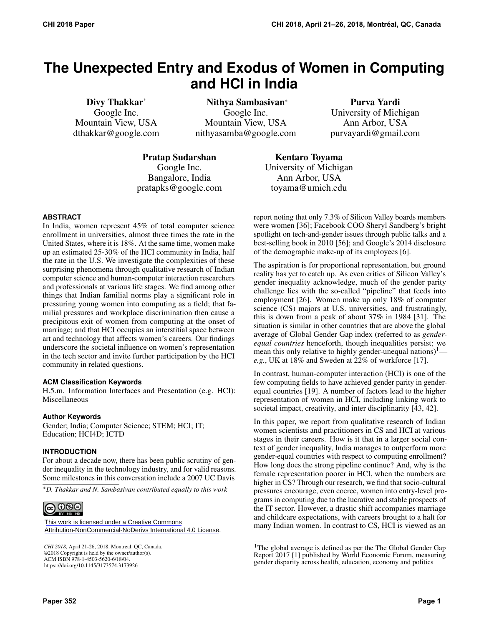# **The Unexpected Entry and Exodus of Women in Computing and HCI in India**

Divy Thakkar\* Google Inc. Mountain View, USA dthakkar@google.com

Nithya Sambasivan<sup>∗</sup> Google Inc. Mountain View, USA nithyasamba@google.com

Purva Yardi University of Michigan Ann Arbor, USA purvayardi@gmail.com

Pratap Sudarshan Google Inc. Bangalore, India pratapks@google.com

Kentaro Toyama University of Michigan Ann Arbor, USA toyama@umich.edu

#### **ABSTRACT**

In India, women represent 45% of total computer science enrollment in universities, almost three times the rate in the United States, where it is 18%. At the same time, women make up an estimated 25-30% of the HCI community in India, half the rate in the U.S. We investigate the complexities of these surprising phenomena through qualitative research of Indian computer science and human-computer interaction researchers and professionals at various life stages. We find among other things that Indian familial norms play a significant role in pressuring young women into computing as a field; that familial pressures and workplace discrimination then cause a precipitous exit of women from computing at the onset of marriage; and that HCI occupies an interstitial space between art and technology that affects women's careers. Our findings underscore the societal influence on women's representation in the tech sector and invite further participation by the HCI community in related questions.

#### **ACM Classification Keywords**

H.5.m. Information Interfaces and Presentation (e.g. HCI): Miscellaneous

#### **Author Keywords**

Gender; India; Computer Science; STEM; HCI; IT; Education; HCI4D; ICTD

#### **INTRODUCTION**

For about a decade now, there has been public scrutiny of gender inequality in the technology industry, and for valid reasons. Some milestones in this conversation include a 2007 UC Davis

\**D. Thakkar and N. Sambasivan contributed equally to this work*



[This work is licensed under a Creative Commons](https://creativecommons.org/licenses/by-nc-nd/4.0/) [Attribution-NonCommercial-NoDerivs International 4.0 License](https://creativecommons.org/licenses/by-nc-nd/4.0/).

*CHI 2018*, April 21-26, 2018, Montreal, QC, Canada. ©2018 Copyright is held by the owner/author(s). ACM ISBN 978-1-4503-5620-6/18/04. https:://doi.org/10.1145/3173574.3173926

report noting that only 7.3% of Silicon Valley boards members were women [\[36\]](#page-10-0); Facebook COO Sheryl Sandberg's bright spotlight on tech-and-gender issues through public talks and a best-selling book in 2010 [\[56\]](#page-11-0); and Google's 2014 disclosure of the demographic make-up of its employees [\[6\]](#page-10-1).

The aspiration is for proportional representation, but ground reality has yet to catch up. As even critics of Silicon Valley's gender inequality acknowledge, much of the gender parity challenge lies with the so-called "pipeline" that feeds into employment [\[26\]](#page-10-2). Women make up only 18% of computer science (CS) majors at U.S. universities, and frustratingly, this is down from a peak of about 37% in 1984 [\[31\]](#page-10-3). The situation is similar in other countries that are above the global average of Global Gender Gap index (referred to as *genderequal countries* henceforth, though inequalities persist; we mean this only relative to highly gender-unequal nations)<sup>[1](#page-0-0)</sup> *e.g.*, UK at 18% and Sweden at 22% of workforce [\[17\]](#page-10-4).

In contrast, human-computer interaction (HCI) is one of the few computing fields to have achieved gender parity in genderequal countries [\[19\]](#page-10-5). A number of factors lead to the higher representation of women in HCI, including linking work to societal impact, creativity, and inter disciplinarity [\[43,](#page-11-1) [42\]](#page-11-2).

In this paper, we report from qualitative research of Indian women scientists and practitioners in CS and HCI at various stages in their careers. How is it that in a larger social context of gender inequality, India manages to outperform more gender-equal countries with respect to computing enrollment? How long does the strong pipeline continue? And, why is the female representation poorer in HCI, when the numbers are higher in CS? Through our research, we find that socio-cultural pressures encourage, even coerce, women into entry-level programs in computing due to the lucrative and stable prospects of the IT sector. However, a drastic shift accompanies marriage and childcare expectations, with careers brought to a halt for many Indian women. In contrast to CS, HCI is viewed as an

<span id="page-0-0"></span><sup>&</sup>lt;sup>1</sup>The global average is defined as per the The Global Gender Gap Report 2017 [\[1\]](#page-10-6) published by World Economic Forum, measuring gender disparity across health, education, economy and politics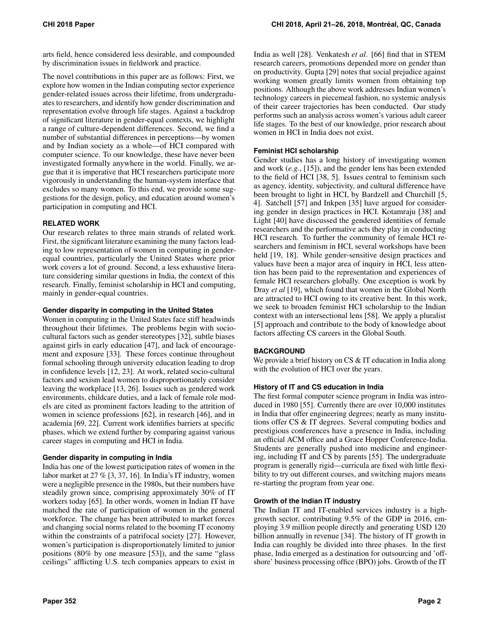arts field, hence considered less desirable, and compounded by discrimination issues in fieldwork and practice.

The novel contributions in this paper are as follows: First, we explore how women in the Indian computing sector experience gender-related issues across their lifetime, from undergraduates to researchers, and identify how gender discrimination and representation evolve through life stages. Against a backdrop of significant literature in gender-equal contexts, we highlight a range of culture-dependent differences. Second, we find a number of substantial differences in perceptions—by women and by Indian society as a whole—of HCI compared with computer science. To our knowledge, these have never been investigated formally anywhere in the world. Finally, we argue that it is imperative that HCI researchers participate more vigorously in understanding the human-system interface that excludes so many women. To this end, we provide some suggestions for the design, policy, and education around women's participation in computing and HCI.

# **RELATED WORK**

Our research relates to three main strands of related work. First, the significant literature examining the many factors leading to low representation of women in computing in genderequal countries, particularly the United States where prior work covers a lot of ground. Second, a less exhaustive literature considering similar questions in India, the context of this research. Finally, feminist scholarship in HCI and computing, mainly in gender-equal countries.

# **Gender disparity in computing in the United States**

Women in computing in the United States face stiff headwinds throughout their lifetimes. The problems begin with sociocultural factors such as gender stereotypes [\[32\]](#page-10-7), subtle biases against girls in early education [\[47\]](#page-11-3), and lack of encouragement and exposure [\[33\]](#page-10-8). These forces continue throughout formal schooling through university education leading to drop in confidence levels [\[12,](#page-10-9) [23\]](#page-10-10). At work, related socio-cultural factors and sexism lead women to disproportionately consider leaving the workplace [\[13,](#page-10-11) [26\]](#page-10-2). Issues such as gendered work environments, childcare duties, and a lack of female role models are cited as prominent factors leading to the attrition of women in science professions [\[62\]](#page-11-4), in research [\[46\]](#page-11-5), and in academia [\[69,](#page-11-6) [22\]](#page-10-12). Current work identifies barriers at specific phases, which we extend further by comparing against various career stages in computing and HCI in India.

# **Gender disparity in computing in India**

India has one of the lowest participation rates of women in the labor market at 27 % [\[3,](#page-10-13) [37,](#page-10-14) [16\]](#page-10-15). In India's IT industry, women were a negligible presence in the 1980s, but their numbers have steadily grown since, comprising approximately 30% of IT workers today [\[65\]](#page-11-7). In other words, women in Indian IT have matched the rate of participation of women in the general workforce. The change has been attributed to market forces and changing social norms related to the booming IT economy within the constraints of a patrifocal society [\[27\]](#page-10-16). However, women's participation is disproportionately limited to junior positions (80% by one measure [\[53\]](#page-11-8)), and the same "glass ceilings" afflicting U.S. tech companies appears to exist in

India as well [\[28\]](#page-10-17). Venkatesh *et al*. [\[66\]](#page-11-9) find that in STEM research careers, promotions depended more on gender than on productivity. Gupta [\[29\]](#page-10-18) notes that social prejudice against working women greatly limits women from obtaining top positions. Although the above work addresses Indian women's technology careers in piecemeal fashion, no systemic analysis of their career trajectories has been conducted. Our study performs such an analysis across women's various adult career life stages. To the best of our knowledge, prior research about women in HCI in India does not exist.

## **Feminist HCI scholarship**

Gender studies has a long history of investigating women and work (*e.g.*, [\[15\]](#page-10-19)), and the gender lens has been extended to the field of HCI [\[38,](#page-10-20) [5\]](#page-10-21). Issues central to feminism such as agency, identity, subjectivity, and cultural difference have been brought to light in HCI, by Bardzell and Churchill [\[5,](#page-10-21) [4\]](#page-10-22). Satchell [\[57\]](#page-11-10) and Inkpen [\[35\]](#page-10-23) have argued for considering gender in design practices in HCI. Kotamraju [\[38\]](#page-10-20) and Light [\[40\]](#page-11-11) have discussed the gendered identities of female researchers and the performative acts they play in conducting HCI research. To further the community of female HCI researchers and feminism in HCI, several workshops have been held [\[19,](#page-10-5) [18\]](#page-10-24). While gender-sensitive design practices and values have been a major area of inquiry in HCI, less attention has been paid to the representation and experiences of female HCI researchers globally. One exception is work by Dray *et al* [\[19\]](#page-10-5), which found that women in the Global North are attracted to HCI owing to its creative bent. In this work, we seek to broaden feminist HCI scholarship to the Indian context with an intersectional lens [\[58\]](#page-11-12). We apply a pluralist [\[5\]](#page-10-21) approach and contribute to the body of knowledge about factors affecting CS careers in the Global South.

# **BACKGROUND**

We provide a brief history on CS & IT education in India along with the evolution of HCI over the years.

# **History of IT and CS education in India**

The first formal computer science program in India was introduced in 1980 [\[55\]](#page-11-13). Currently there are over 10,000 institutes in India that offer engineering degrees; nearly as many institutions offer CS & IT degrees. Several computing bodies and prestigious conferences have a presence in India, including an official ACM office and a Grace Hopper Conference-India. Students are generally pushed into medicine and engineering, including IT and CS by parents [\[55\]](#page-11-13). The undergraduate program is generally rigid—curricula are fixed with little flexibility to try out different courses, and switching majors means re-starting the program from year one.

# **Growth of the Indian IT industry**

The Indian IT and IT-enabled services industry is a highgrowth sector, contributing 9.5% of the GDP in 2016, employing 3.9 million people directly and generating USD 120 billion annually in revenue [\[34\]](#page-10-25). The history of IT growth in India can roughly be divided into three phases. In the first phase, India emerged as a destination for outsourcing and 'offshore' business processing office (BPO) jobs. Growth of the IT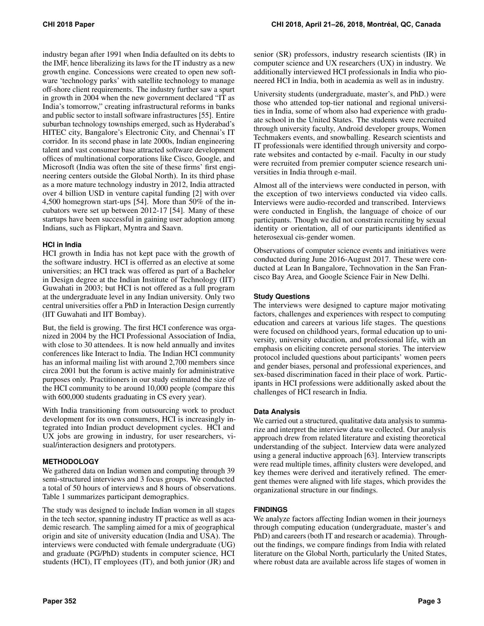industry began after 1991 when India defaulted on its debts to the IMF, hence liberalizing its laws for the IT industry as a new growth engine. Concessions were created to open new software 'technology parks' with satellite technology to manage off-shore client requirements. The industry further saw a spurt in growth in 2004 when the new government declared "IT as India's tomorrow," creating infrastructural reforms in banks and public sector to install software infrastructures [\[55\]](#page-11-13). Entire suburban technology townships emerged, such as Hyderabad's HITEC city, Bangalore's Electronic City, and Chennai's IT corridor. In its second phase in late 2000s, Indian engineering talent and vast consumer base attracted software development offices of multinational corporations like Cisco, Google, and Microsoft (India was often the site of these firms' first engineering centers outside the Global North). In its third phase as a more mature technology industry in 2012, India attracted over 4 billion USD in venture capital funding [\[2\]](#page-10-26) with over 4,500 homegrown start-ups [\[54\]](#page-11-14). More than 50% of the incubators were set up between 2012-17 [\[54\]](#page-11-14). Many of these startups have been successful in gaining user adoption among Indians, such as Flipkart, Myntra and Saavn.

## **HCI in India**

HCI growth in India has not kept pace with the growth of the software industry. HCI is offerred as an elective at some universities; an HCI track was offered as part of a Bachelor in Design degree at the Indian Institute of Technology (IIT) Guwahati in 2003; but HCI is not offered as a full program at the undergraduate level in any Indian university. Only two central universities offer a PhD in Interaction Design currently (IIT Guwahati and IIT Bombay).

But, the field is growing. The first HCI conference was organized in 2004 by the HCI Professional Association of India, with close to 30 attendees. It is now held annually and invites conferences like Interact to India. The Indian HCI community has an informal mailing list with around 2,700 members since circa 2001 but the forum is active mainly for administrative purposes only. Practitioners in our study estimated the size of the HCI community to be around 10,000 people (compare this with 600,000 students graduating in CS every year).

With India transitioning from outsourcing work to product development for its own consumers, HCI is increasingly integrated into Indian product development cycles. HCI and UX jobs are growing in industry, for user researchers, visual/interaction designers and prototypers.

# **METHODOLOGY**

We gathered data on Indian women and computing through 39 semi-structured interviews and 3 focus groups. We conducted a total of 50 hours of interviews and 8 hours of observations. Table 1 summarizes participant demographics.

The study was designed to include Indian women in all stages in the tech sector, spanning industry IT practice as well as academic research. The sampling aimed for a mix of geographical origin and site of university education (India and USA). The interviews were conducted with female undergraduate (UG) and graduate (PG/PhD) students in computer science, HCI students (HCI), IT employees (IT), and both junior (JR) and

senior (SR) professors, industry research scientists (IR) in computer science and UX researchers (UX) in industry. We additionally interviewed HCI professionals in India who pioneered HCI in India, both in academia as well as in industry.

University students (undergraduate, master's, and PhD.) were those who attended top-tier national and regional universities in India, some of whom also had experience with graduate school in the United States. The students were recruited through university faculty, Android developer groups, Women Techmakers events, and snowballing. Research scientists and IT professionals were identified through university and corporate websites and contacted by e-mail. Faculty in our study were recruited from premier computer science research universities in India through e-mail.

Almost all of the interviews were conducted in person, with the exception of two interviews conducted via video calls. Interviews were audio-recorded and transcribed. Interviews were conducted in English, the language of choice of our participants. Though we did not constrain recruiting by sexual identity or orientation, all of our participants identified as heterosexual cis-gender women.

Observations of computer science events and initiatives were conducted during June 2016-August 2017. These were conducted at Lean In Bangalore, Technovation in the San Francisco Bay Area, and Google Science Fair in New Delhi.

## **Study Questions**

The interviews were designed to capture major motivating factors, challenges and experiences with respect to computing education and careers at various life stages. The questions were focused on childhood years, formal education up to university, university education, and professional life, with an emphasis on eliciting concrete personal stories. The interview protocol included questions about participants' women peers and gender biases, personal and professional experiences, and sex-based discrimination faced in their place of work. Participants in HCI professions were additionally asked about the challenges of HCI research in India.

#### **Data Analysis**

We carried out a structured, qualitative data analysis to summarize and interpret the interview data we collected. Our analysis approach drew from related literature and existing theoretical understanding of the subject. Interview data were analyzed using a general inductive approach [\[63\]](#page-11-15). Interview transcripts were read multiple times, affinity clusters were developed, and key themes were derived and iteratively refined. The emergent themes were aligned with life stages, which provides the organizational structure in our findings.

# **FINDINGS**

We analyze factors affecting Indian women in their journeys through computing education (undergraduate, master's and PhD) and careers (both IT and research or academia). Throughout the findings, we compare findings from India with related literature on the Global North, particularly the United States, where robust data are available across life stages of women in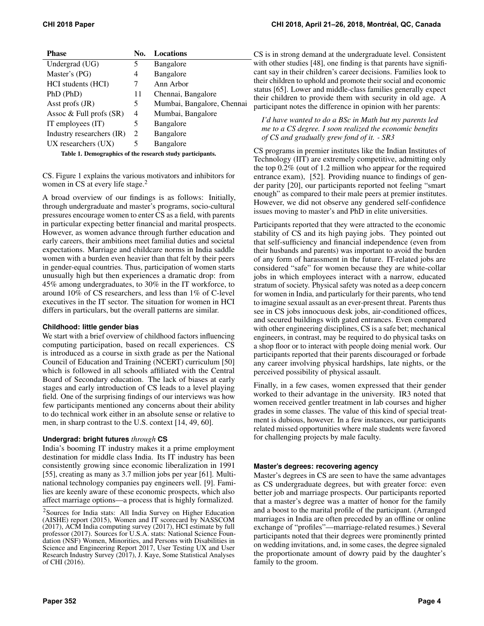| <b>Phase</b>                                              | No.            | <b>Locations</b>           |  |  |  |  |
|-----------------------------------------------------------|----------------|----------------------------|--|--|--|--|
| Undergrad (UG)                                            | 5              | Bangalore                  |  |  |  |  |
| Master's (PG)                                             | 4              | Bangalore                  |  |  |  |  |
| HCI students (HCI)                                        | 7              | Ann Arbor                  |  |  |  |  |
| PhD (PhD)                                                 | 11             | Chennai, Bangalore         |  |  |  |  |
| Asst profs (JR)                                           | 5              | Mumbai, Bangalore, Chennai |  |  |  |  |
| Assoc $\&$ Full profs $(SR)$                              | 4              | Mumbai, Bangalore          |  |  |  |  |
| IT employees $(IT)$                                       | 5              | <b>Bangalore</b>           |  |  |  |  |
| Industry researchers (IR)                                 | $\mathfrak{D}$ | Bangalore                  |  |  |  |  |
| $UX$ researchers $(UX)$                                   | 5              | Bangalore                  |  |  |  |  |
| Table 1. Demographics of the research study participants. |                |                            |  |  |  |  |

CS. Figure 1 explains the various motivators and inhibitors for women in CS at every life stage. $<sup>2</sup>$  $<sup>2</sup>$  $<sup>2</sup>$ </sup>

A broad overview of our findings is as follows: Initially, through undergraduate and master's programs, socio-cultural pressures encourage women to enter CS as a field, with parents in particular expecting better financial and marital prospects. However, as women advance through further education and early careers, their ambitions meet familial duties and societal expectations. Marriage and childcare norms in India saddle women with a burden even heavier than that felt by their peers in gender-equal countries. Thus, participation of women starts unusually high but then experiences a dramatic drop: from 45% among undergraduates, to 30% in the IT workforce, to around 10% of CS researchers, and less than 1% of C-level executives in the IT sector. The situation for women in HCI differs in particulars, but the overall patterns are similar.

#### **Childhood: little gender bias**

We start with a brief overview of childhood factors influencing computing participation, based on recall experiences. CS is introduced as a course in sixth grade as per the National Council of Education and Training (NCERT) curriculum [\[50\]](#page-11-16) which is followed in all schools affiliated with the Central Board of Secondary education. The lack of biases at early stages and early introduction of CS leads to a level playing field. One of the surprising findings of our interviews was how few participants mentioned any concerns about their ability to do technical work either in an absolute sense or relative to men, in sharp contrast to the U.S. context [\[14,](#page-10-27) [49,](#page-11-17) [60\]](#page-11-18).

# **Undergrad: bright futures** *through* **CS**

India's booming IT industry makes it a prime employment destination for middle class India. Its IT industry has been consistently growing since economic liberalization in 1991 [\[55\]](#page-11-13), creating as many as 3.7 million jobs per year [\[61\]](#page-11-19). Multinational technology companies pay engineers well. [\[9\]](#page-10-28). Families are keenly aware of these economic prospects, which also affect marriage options—a process that is highly formalized.

CS is in strong demand at the undergraduate level. Consistent with other studies [\[48\]](#page-11-20), one finding is that parents have significant say in their children's career decisions. Families look to their children to uphold and promote their social and economic status [\[65\]](#page-11-7). Lower and middle-class families generally expect their children to provide them with security in old age. A participant notes the difference in opinion with her parents:

*I'd have wanted to do a BSc in Math but my parents led me to a CS degree. I soon realized the economic benefits of CS and gradually grew fond of it. - SR3*

CS programs in premier institutes like the Indian Institutes of Technology (IIT) are extremely competitive, admitting only the top 0.2% (out of 1.2 million who appear for the required entrance exam), [\[52\]](#page-11-21). Providing nuance to findings of gender parity [\[20\]](#page-10-29), our participants reported not feeling "smart enough" as compared to their male peers at premier institutes. However, we did not observe any gendered self-confidence issues moving to master's and PhD in elite universities.

Participants reported that they were attracted to the economic stability of CS and its high paying jobs. They pointed out that self-sufficiency and financial independence (even from their husbands and parents) was important to avoid the burden of any form of harassment in the future. IT-related jobs are considered "safe" for women because they are white-collar jobs in which employees interact with a narrow, educated stratum of society. Physical safety was noted as a deep concern for women in India, and particularly for their parents, who tend to imagine sexual assault as an ever-present threat. Parents thus see in CS jobs innocuous desk jobs, air-conditioned offices, and secured buildings with gated entrances. Even compared with other engineering disciplines, CS is a safe bet; mechanical engineers, in contrast, may be required to do physical tasks on a shop floor or to interact with people doing menial work. Our participants reported that their parents discouraged or forbade any career involving physical hardships, late nights, or the perceived possibility of physical assault.

Finally, in a few cases, women expressed that their gender worked to their advantage in the university. IR3 noted that women received gentler treatment in lab courses and higher grades in some classes. The value of this kind of special treatment is dubious, however. In a few instances, our participants related missed opportunities where male students were favored for challenging projects by male faculty.

# **Master's degrees: recovering agency**

Master's degrees in CS are seen to have the same advantages as CS undergraduate degrees, but with greater force: even better job and marriage prospects. Our participants reported that a master's degree was a matter of honor for the family and a boost to the marital profile of the participant. (Arranged marriages in India are often preceded by an offline or online exchange of "profiles"—marriage-related resumes.) Several participants noted that their degrees were prominently printed on wedding invitations, and, in some cases, the degree signaled the proportionate amount of dowry paid by the daughter's family to the groom.

<span id="page-3-0"></span><sup>2</sup>Sources for India stats: All India Survey on Higher Education (AISHE) report (2015), Women and IT scorecard by NASSCOM (2017), ACM India computing survey (2017), HCI estimate by full professor (2017). Sources for U.S.A. stats: National Science Foundation (NSF) Women, Minorities, and Persons with Disabilities in Science and Engineering Report 2017, User Testing UX and User Research Industry Survey (2017), J. Kaye, Some Statistical Analyses of CHI (2016).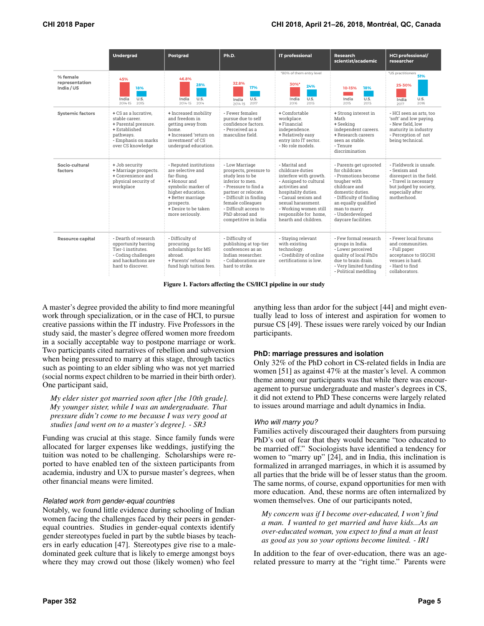|                                          | Undergrad                                                                                                                                | Postgrad                                                                                                                                                                                           | Ph.D.                                                                                                                                                                                                                                              | <b>IT professional</b>                                                                                                                                                                                                                                | Research<br>scientist/academic                                                                                                                                                                                                      | <b>HCI professional/</b><br>researcher                                                                                                                   |
|------------------------------------------|------------------------------------------------------------------------------------------------------------------------------------------|----------------------------------------------------------------------------------------------------------------------------------------------------------------------------------------------------|----------------------------------------------------------------------------------------------------------------------------------------------------------------------------------------------------------------------------------------------------|-------------------------------------------------------------------------------------------------------------------------------------------------------------------------------------------------------------------------------------------------------|-------------------------------------------------------------------------------------------------------------------------------------------------------------------------------------------------------------------------------------|----------------------------------------------------------------------------------------------------------------------------------------------------------|
| % female<br>representation<br>India / US | 45%<br>18%<br>U.S.<br>India<br>2015<br>2014-15                                                                                           | 46.8%<br>28%<br>U.S.<br>India<br>2014<br>2014-15                                                                                                                                                   | 32.8%<br>17%<br>U.S.<br>India<br>2017<br>2014-15                                                                                                                                                                                                   | *80% of them entry level<br>30%*<br>24%<br>U.S.<br>India<br>2015<br>2016                                                                                                                                                                              | 10-15%<br>18%<br>U.S.<br>India<br>2015<br>2015                                                                                                                                                                                      | *US practitioners<br>51%<br>25-30%<br>U.S.<br>India<br>2016<br>2017                                                                                      |
| <b>Systemic factors</b>                  | + CS as a lucrative.<br>stable career.<br>+ Parental pressure.<br>+ Established<br>pathways.<br>- Emphasis on marks<br>over CS knowledge | + Increased mobility<br>and freedom in<br>getting away from<br>home.<br>+ Increased 'return on<br>investment' of CS<br>undergrad education.                                                        | - Fewer females<br>pursue due to self<br>confidence factors.<br>- Perceived as a<br>masculine field.                                                                                                                                               | + Comfortable<br>workplace.<br>+ Financial<br>independence.<br>+ Relatively easy<br>entry into IT sector.<br>- No role models.                                                                                                                        | + Strong interest in<br>Math<br>+ Seeking<br>independent careers.<br>+ Research careers<br>seen as stable.<br>- Tenure<br>discrimination                                                                                            | - HCI seen as arts, too<br>'soft' and low paying.<br>- New field, low<br>maturity in industry<br>- Perception of not<br>being technical.                 |
| Socio-cultural<br>factors                | + Job security<br>+ Marriage prospects.<br>+ Convenience and<br>physical security of<br>workplace                                        | - Reputed institutions<br>are selective and<br>far-flung.<br>+ Honour and<br>symbolic marker of<br>higher education.<br>+ Better marriage<br>prospects.<br>+ Desire to be taken<br>more seriously. | - Low Marriage<br>prospects, pressure to<br>study less to be<br>inferior to men.<br>- Pressure to find a<br>partner or relocate.<br>- Difficult in finding<br>female colleagues<br>- Difficult access to<br>PhD abroad and<br>competitive in India | - Marital and<br>childcare duties<br>interfere with growth.<br>- Assigned to cultural<br>activities and<br>hospitality duties.<br>- Casual sexism and<br>sexual harassment.<br>- Working women still<br>responsible for home,<br>hearth and children. | - Parents get uprooted<br>for childcare.<br>- Promotions become<br>tougher with<br>childcare and<br>domestic duties.<br>- Difficulty of finding<br>an equally qualified<br>man to marry.<br>- Underdeveloped<br>daycare facilities. | - Fieldwork is unsafe.<br>- Sexism and<br>disrespect in the field.<br>- Travel is necessary<br>but judged by society,<br>especially after<br>motherhood. |
| Resource capital                         | - Dearth of research<br>opportunity barring<br>Tier-1 institutes.<br>- Coding challenges<br>and hackathons are<br>hard to discover.      | - Difficulty of<br>procuring<br>scholarships for MS<br>abroad.<br>+ Parents' refusal to<br>fund high tuition fees.                                                                                 | - Difficulty of<br>publishing at top-tier<br>conferences as an<br>Indian researcher.<br>- Collaborations are<br>hard to strike.                                                                                                                    | - Staying relevant<br>with existing<br>technology.<br>- Credibility of online<br>certifications is low.                                                                                                                                               | - Few formal research<br>groups in India.<br>- Lower perceived<br>quality of local PhDs<br>due to brain drain.<br>- Very limited funding<br>- Political meddling                                                                    | - Fewer local forums<br>and communities.<br>- Full paper<br>acceptance to SIGCHI<br>venues is hard.<br>- Hard to find<br>collaborators.                  |

Figure 1. Factors affecting the CS/HCI pipeline in our study

A master's degree provided the ability to find more meaningful work through specialization, or in the case of HCI, to pursue creative passions within the IT industry. Five Professors in the study said, the master's degree offered women more freedom in a socially acceptable way to postpone marriage or work. Two participants cited narratives of rebellion and subversion when being pressured to marry at this stage, through tactics such as pointing to an elder sibling who was not yet married (social norms expect children to be married in their birth order). One participant said,

*My elder sister got married soon after [the 10th grade]. My younger sister, while I was an undergraduate. That pressure didn't come to me because I was very good at studies [and went on to a master's degree]. - SR3*

Funding was crucial at this stage. Since family funds were allocated for larger expenses like weddings, justifying the tuition was noted to be challenging. Scholarships were reported to have enabled ten of the sixteen participants from academia, industry and UX to pursue master's degrees, when other financial means were limited.

#### *Related work from gender-equal countries*

Notably, we found little evidence during schooling of Indian women facing the challenges faced by their peers in genderequal countries. Studies in gender-equal contexts identify gender stereotypes fueled in part by the subtle biases by teachers in early education [\[47\]](#page-11-3). Stereotypes give rise to a maledominated geek culture that is likely to emerge amongst boys where they may crowd out those (likely women) who feel

anything less than ardor for the subject [\[44\]](#page-11-22) and might eventually lead to loss of interest and aspiration for women to pursue CS [\[49\]](#page-11-17). These issues were rarely voiced by our Indian participants.

# **PhD: marriage pressures and isolation**

Only 32% of the PhD cohort in CS-related fields in India are women [\[51\]](#page-11-23) as against 47% at the master's level. A common theme among our participants was that while there was encouragement to pursue undergraduate and master's degrees in CS, it did not extend to PhD These concerns were largely related to issues around marriage and adult dynamics in India.

#### *Who will marry you?*

Families actively discouraged their daughters from pursuing PhD's out of fear that they would became "too educated to be married off." Sociologists have identified a tendency for women to "marry up" [\[24\]](#page-10-30), and in India, this inclination is formalized in arranged marriages, in which it is assumed by all parties that the bride will be of lesser status than the groom. The same norms, of course, expand opportunities for men with more education. And, these norms are often internalized by women themselves. One of our participants noted,

*My concern was if I become over-educated, I won't find a man. I wanted to get married and have kids...As an over-educated woman, you expect to find a man at least as good as you so your options become limited. - IR1*

In addition to the fear of over-education, there was an agerelated pressure to marry at the "right time." Parents were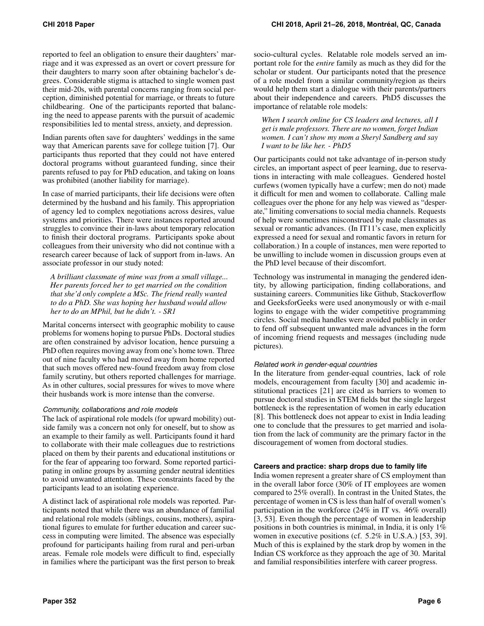reported to feel an obligation to ensure their daughters' marriage and it was expressed as an overt or covert pressure for their daughters to marry soon after obtaining bachelor's degrees. Considerable stigma is attached to single women past their mid-20s, with parental concerns ranging from social perception, diminished potential for marriage, or threats to future childbearing. One of the participants reported that balancing the need to appease parents with the pursuit of academic responsibilities led to mental stress, anxiety, and depression.

Indian parents often save for daughters' weddings in the same way that American parents save for college tuition [\[7\]](#page-10-31). Our participants thus reported that they could not have entered doctoral programs without guaranteed funding, since their parents refused to pay for PhD education, and taking on loans was prohibited (another liability for marriage).

In case of married participants, their life decisions were often determined by the husband and his family. This appropriation of agency led to complex negotiations across desires, value systems and priorities. There were instances reported around struggles to convince their in-laws about temporary relocation to finish their doctoral programs. Participants spoke about colleagues from their university who did not continue with a research career because of lack of support from in-laws. An associate professor in our study noted:

*A brilliant classmate of mine was from a small village... Her parents forced her to get married on the condition that she'd only complete a MSc. The friend really wanted to do a PhD. She was hoping her husband would allow her to do an MPhil, but he didn't. - SR1*

Marital concerns intersect with geographic mobility to cause problems for womens hoping to pursue PhDs. Doctoral studies are often constrained by advisor location, hence pursuing a PhD often requires moving away from one's home town. Three out of nine faculty who had moved away from home reported that such moves offered new-found freedom away from close family scrutiny, but others reported challenges for marriage. As in other cultures, social pressures for wives to move where their husbands work is more intense than the converse.

# *Community, collaborations and role models*

The lack of aspirational role models (for upward mobility) outside family was a concern not only for oneself, but to show as an example to their family as well. Participants found it hard to collaborate with their male colleagues due to restrictions placed on them by their parents and educational institutions or for the fear of appearing too forward. Some reported participating in online groups by assuming gender neutral identities to avoid unwanted attention. These constraints faced by the participants lead to an isolating experience.

A distinct lack of aspirational role models was reported. Participants noted that while there was an abundance of familial and relational role models (siblings, cousins, mothers), aspirational figures to emulate for further education and career success in computing were limited. The absence was especially profound for participants hailing from rural and peri-urban areas. Female role models were difficult to find, especially in families where the participant was the first person to break

socio-cultural cycles. Relatable role models served an important role for the *entire* family as much as they did for the scholar or student. Our participants noted that the presence of a role model from a similar community/region as theirs would help them start a dialogue with their parents/partners about their independence and careers. PhD5 discusses the importance of relatable role models:

*When I search online for CS leaders and lectures, all I get is male professors. There are no women, forget Indian women. I can't show my mom a Sheryl Sandberg and say I want to be like her. - PhD5*

Our participants could not take advantage of in-person study circles, an important aspect of peer learning, due to reservations in interacting with male colleagues. Gendered hostel curfews (women typically have a curfew; men do not) made it difficult for men and women to collaborate. Calling male colleagues over the phone for any help was viewed as "desperate," limiting conversations to social media channels. Requests of help were sometimes misconstrued by male classmates as sexual or romantic advances. (In IT11's case, men explicitly expressed a need for sexual and romantic favors in return for collaboration.) In a couple of instances, men were reported to be unwilling to include women in discussion groups even at the PhD level because of their discomfort.

Technology was instrumental in managing the gendered identity, by allowing participation, finding collaborations, and sustaining careers. Communities like Github, Stackoverflow and GeeksforGeeks were used anonymously or with e-mail logins to engage with the wider competitive programming circles. Social media handles were avoided publicly in order to fend off subsequent unwanted male advances in the form of incoming friend requests and messages (including nude pictures).

#### *Related work in gender-equal countries*

In the literature from gender-equal countries, lack of role models, encouragement from faculty [\[30\]](#page-10-32) and academic institutional practices [\[21\]](#page-10-33) are cited as barriers to women to pursue doctoral studies in STEM fields but the single largest bottleneck is the representation of women in early education [\[8\]](#page-10-34). This bottleneck does not appear to exist in India leading one to conclude that the pressures to get married and isolation from the lack of community are the primary factor in the discouragement of women from doctoral studies.

#### **Careers and practice: sharp drops due to family life**

India women represent a greater share of CS employment than in the overall labor force (30% of IT employees are women compared to 25% overall). In contrast in the United States, the percentage of women in CS is less than half of overall women's participation in the workforce (24% in IT vs. 46% overall) [\[3,](#page-10-13) [53\]](#page-11-8). Even though the percentage of women in leadership positions in both countries is minimal, in India, it is only 1% women in executive positions (cf. 5.2% in U.S.A.) [\[53,](#page-11-8) [39\]](#page-10-35). Much of this is explained by the stark drop by women in the Indian CS workforce as they approach the age of 30. Marital and familial responsibilities interfere with career progress.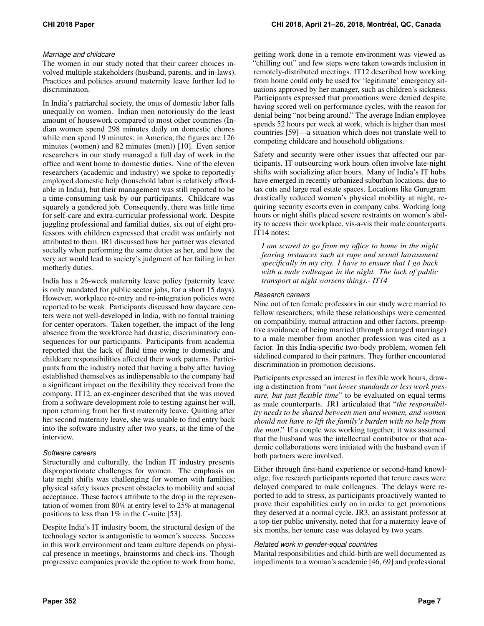# *Marriage and childcare*

The women in our study noted that their career choices involved multiple stakeholders (husband, parents, and in-laws). Practices and policies around maternity leave further led to discrimination.

In India's patriarchal society, the onus of domestic labor falls unequally on women. Indian men notoriously do the least amount of housework compared to most other countries (Indian women spend 298 minutes daily on domestic chores while men spend 19 minutes; in America, the figures are 126 minutes (women) and 82 minutes (men)) [\[10\]](#page-10-36). Even senior researchers in our study managed a full day of work in the office and went home to domestic duties. Nine of the eleven researchers (academic and industry) we spoke to reportedly employed domestic help (household labor is relatively affordable in India), but their management was still reported to be a time-consuming task by our participants. Childcare was squarely a gendered job. Consequently, there was little time for self-care and extra-curricular professional work. Despite juggling professional and familial duties, six out of eight professors with children expressed that credit was unfairly not attributed to them. IR1 discussed how her partner was elevated socially when performing the same duties as her, and how the very act would lead to society's judgment of her failing in her motherly duties.

India has a 26-week maternity leave policy (paternity leave is only mandated for public sector jobs, for a short 15 days). However, workplace re-entry and re-integration policies were reported to be weak. Participants discussed how daycare centers were not well-developed in India, with no formal training for center operators. Taken together, the impact of the long absence from the workforce had drastic, discriminatory consequences for our participants. Participants from academia reported that the lack of fluid time owing to domestic and childcare responsibilities affected their work patterns. Participants from the industry noted that having a baby after having established themselves as indispensable to the company had a significant impact on the flexibility they received from the company. IT12, an ex-engineer described that she was moved from a software development role to testing against her will, upon returning from her first maternity leave. Quitting after her second maternity leave, she was unable to find entry back into the software industry after two years, at the time of the interview.

#### *Software careers*

Structurally and culturally, the Indian IT industry presents disproportionate challenges for women. The emphasis on late night shifts was challenging for women with families; physical safety issues present obstacles to mobility and social acceptance. These factors attribute to the drop in the representation of women from 80% at entry level to 25% at managerial positions to less than 1% in the C-suite [\[53\]](#page-11-8).

Despite India's IT industry boom, the structural design of the technology sector is antagonistic to women's success. Success in this work environment and team culture depends on physical presence in meetings, brainstorms and check-ins. Though progressive companies provide the option to work from home, getting work done in a remote environment was viewed as "chilling out" and few steps were taken towards inclusion in remotely-distributed meetings. IT12 described how working from home could only be used for 'legitimate' emergency situations approved by her manager, such as children's sickness. Participants expressed that promotions were denied despite having scored well on performance cycles, with the reason for denial being "not being around." The average Indian employee spends 52 hours per week at work, which is higher than most countries [\[59\]](#page-11-24)—a situation which does not translate well to competing childcare and household obligations.

Safety and security were other issues that affected our participants. IT outsourcing work hours often involve late-night shifts with socializing after hours. Many of India's IT hubs have emerged in recently urbanized suburban locations, due to tax cuts and large real estate spaces. Locations like Gurugram drastically reduced women's physical mobility at night, requiring security escorts even in company cabs. Working long hours or night shifts placed severe restraints on women's ability to access their workplace, vis-a-vis their male counterparts. IT14 notes:

*I am scared to go from my office to home in the night fearing instances such as rape and sexual harassment specifically in my city. I have to ensure that I go back with a male colleague in the night. The lack of public transport at night worsens things.- IT14*

#### *Research careers*

Nine out of ten female professors in our study were married to fellow researchers; while these relationships were cemented on compatibility, mutual attraction and other factors, preemptive avoidance of being married (through arranged marriage) to a male member from another profession was cited as a factor. In this India-specific two-body problem, women felt sidelined compared to their partners. They further encountered discrimination in promotion decisions.

Participants expressed an interest in flexible work hours, drawing a distinction from "*not lower standards or less work pressure, but just flexible time*" to be evaluated on equal terms as male counterparts. JR1 articulated that "*the responsibility needs to be shared between men and women, and women should not have to lift the family's burden with no help from the man*." If a couple was working together, it was assumed that the husband was the intellectual contributor or that academic collaborations were initiated with the husband even if both partners were involved.

Either through first-hand experience or second-hand knowledge, five research participants reported that tenure cases were delayed compared to male colleagues. The delays were reported to add to stress, as participants proactively wanted to prove their capabilities early on in order to get promotions they deserved at a normal cycle. JR3, an assistant professor at a top-tier public university, noted that for a maternity leave of six months, her tenure case was delayed by two years.

#### *Related work in gender-equal countries*

Marital responsibilities and child-birth are well documented as impediments to a woman's academic [\[46,](#page-11-5) [69\]](#page-11-6) and professional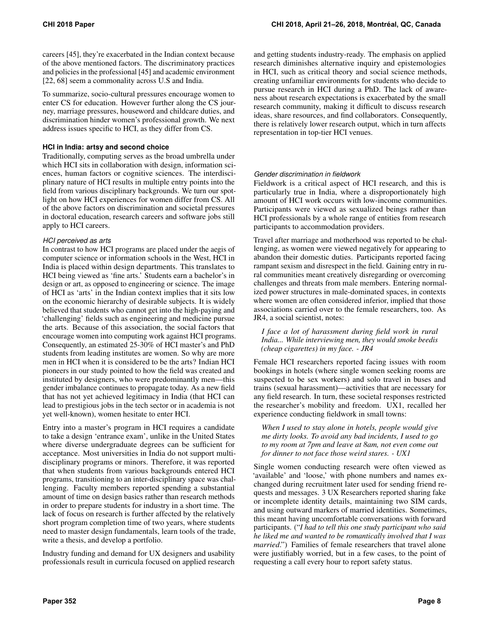careers [\[45\]](#page-11-25), they're exacerbated in the Indian context because of the above mentioned factors. The discriminatory practices and policies in the professional [\[45\]](#page-11-25) and academic environment [\[22,](#page-10-12) [68\]](#page-11-26) seem a commonality across U.S and India.

To summarize, socio-cultural pressures encourage women to enter CS for education. However further along the CS journey, marriage pressures, houseword and childcare duties, and discrimination hinder women's professional growth. We next address issues specific to HCI, as they differ from CS.

#### **HCI in India: artsy and second choice**

Traditionally, computing serves as the broad umbrella under which HCI sits in collaboration with design, information sciences, human factors or cognitive sciences. The interdisciplinary nature of HCI results in multiple entry points into the field from various disciplinary backgrounds. We turn our spotlight on how HCI experiences for women differ from CS. All of the above factors on discrimination and societal pressures in doctoral education, research careers and software jobs still apply to HCI careers.

## *HCI perceived as arts*

In contrast to how HCI programs are placed under the aegis of computer science or information schools in the West, HCI in India is placed within design departments. This translates to HCI being viewed as 'fine arts.' Students earn a bachelor's in design or art, as opposed to engineering or science. The image of HCI as 'arts' in the Indian context implies that it sits low on the economic hierarchy of desirable subjects. It is widely believed that students who cannot get into the high-paying and 'challenging' fields such as engineering and medicine pursue the arts. Because of this association, the social factors that encourage women into computing work against HCI programs. Consequently, an estimated 25-30% of HCI master's and PhD students from leading institutes are women. So why are more men in HCI when it is considered to be the arts? Indian HCI pioneers in our study pointed to how the field was created and instituted by designers, who were predominantly men—this gender imbalance continues to propagate today. As a new field that has not yet achieved legitimacy in India (that HCI can lead to prestigious jobs in the tech sector or in academia is not yet well-known), women hesitate to enter HCI.

Entry into a master's program in HCI requires a candidate to take a design 'entrance exam', unlike in the United States where diverse undergraduate degrees can be sufficient for acceptance. Most universities in India do not support multidisciplinary programs or minors. Therefore, it was reported that when students from various backgrounds entered HCI programs, transitioning to an inter-disciplinary space was challenging. Faculty members reported spending a substantial amount of time on design basics rather than research methods in order to prepare students for industry in a short time. The lack of focus on research is further affected by the relatively short program completion time of two years, where students need to master design fundamentals, learn tools of the trade, write a thesis, and develop a portfolio.

Industry funding and demand for UX designers and usability professionals result in curricula focused on applied research

and getting students industry-ready. The emphasis on applied research diminishes alternative inquiry and epistemologies in HCI, such as critical theory and social science methods, creating unfamiliar environments for students who decide to pursue research in HCI during a PhD. The lack of awareness about research expectations is exacerbated by the small research community, making it difficult to discuss research ideas, share resources, and find collaborators. Consequently, there is relatively lower research output, which in turn affects representation in top-tier HCI venues.

# *Gender discrimination in fieldwork*

Fieldwork is a critical aspect of HCI research, and this is particularly true in India, where a disproportionately high amount of HCI work occurs with low-income communities. Participants were viewed as sexualized beings rather than HCI professionals by a whole range of entities from research participants to accommodation providers.

Travel after marriage and motherhood was reported to be challenging, as women were viewed negatively for appearing to abandon their domestic duties. Participants reported facing rampant sexism and disrespect in the field. Gaining entry in rural communities meant creatively disregarding or overcoming challenges and threats from male members. Entering normalized power structures in male-dominated spaces, in contexts where women are often considered inferior, implied that those associations carried over to the female researchers, too. As JR4, a social scientist, notes:

*I face a lot of harassment during field work in rural India... While interviewing men, they would smoke beedis (cheap cigarettes) in my face. - JR4*

Female HCI researchers reported facing issues with room bookings in hotels (where single women seeking rooms are suspected to be sex workers) and solo travel in buses and trains (sexual harassment)—activities that are necessary for any field research. In turn, these societal responses restricted the researcher's mobility and freedom. UX1, recalled her experience conducting fieldwork in small towns:

*When I used to stay alone in hotels, people would give me dirty looks. To avoid any bad incidents, I used to go to my room at 7pm and leave at 8am, not even come out for dinner to not face those weird stares. - UX1*

Single women conducting research were often viewed as 'available' and 'loose,' with phone numbers and names exchanged during recruitment later used for sending friend requests and messages. 3 UX Researchers reported sharing fake or incomplete identity details, maintaining two SIM cards, and using outward markers of married identities. Sometimes, this meant having uncomfortable conversations with forward participants. ("*I had to tell this one study participant who said he liked me and wanted to be romantically involved that I was married*.") Families of female researchers that travel alone were justifiably worried, but in a few cases, to the point of requesting a call every hour to report safety status.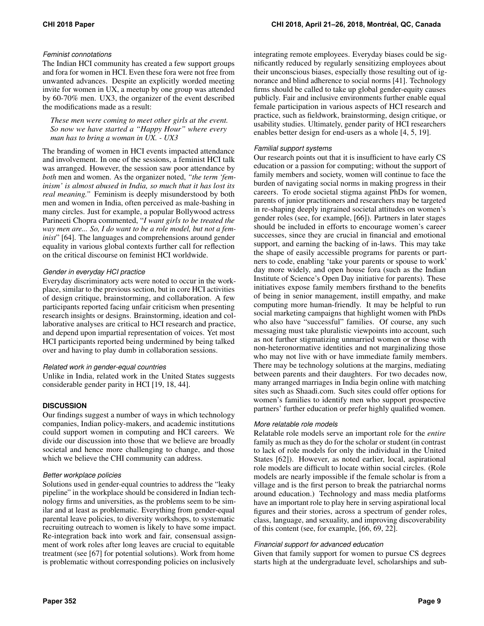## *Feminist connotations*

The Indian HCI community has created a few support groups and fora for women in HCI. Even these fora were not free from unwanted advances. Despite an explicitly worded meeting invite for women in UX, a meetup by one group was attended by 60-70% men. UX3, the organizer of the event described the modifications made as a result:

*These men were coming to meet other girls at the event. So now we have started a "Happy Hour" where every man has to bring a woman in UX. - UX3*

The branding of women in HCI events impacted attendance and involvement. In one of the sessions, a feminist HCI talk was arranged. However, the session saw poor attendance by *both* men and women. As the organizer noted, *"the term 'feminism' is almost abused in India, so much that it has lost its real meaning."* Feminism is deeply misunderstood by both men and women in India, often perceived as male-bashing in many circles. Just for example, a popular Bollywood actress Parineeti Chopra commented, "*I want girls to be treated the way men are... So, I do want to be a role model, but not a feminist*" [\[64\]](#page-11-27). The languages and comprehensions around gender equality in various global contexts further call for reflection on the critical discourse on feminist HCI worldwide.

# *Gender in everyday HCI practice*

Everyday discriminatory acts were noted to occur in the workplace, similar to the previous section, but in core HCI activities of design critique, brainstorming, and collaboration. A few participants reported facing unfair criticism when presenting research insights or designs. Brainstorming, ideation and collaborative analyses are critical to HCI research and practice, and depend upon impartial representation of voices. Yet most HCI participants reported being undermined by being talked over and having to play dumb in collaboration sessions.

# *Related work in gender-equal countries*

Unlike in India, related work in the United States suggests considerable gender parity in HCI [\[19,](#page-10-5) [18,](#page-10-24) [44\]](#page-11-22).

# **DISCUSSION**

Our findings suggest a number of ways in which technology companies, Indian policy-makers, and academic institutions could support women in computing and HCI careers. We divide our discussion into those that we believe are broadly societal and hence more challenging to change, and those which we believe the CHI community can address.

#### *Better workplace policies*

Solutions used in gender-equal countries to address the "leaky pipeline" in the workplace should be considered in Indian technology firms and universities, as the problems seem to be similar and at least as problematic. Everything from gender-equal parental leave policies, to diversity workshops, to systematic recruiting outreach to women is likely to have some impact. Re-integration back into work and fair, consensual assignment of work roles after long leaves are crucial to equitable treatment (see [\[67\]](#page-11-28) for potential solutions). Work from home is problematic without corresponding policies on inclusively

integrating remote employees. Everyday biases could be significantly reduced by regularly sensitizing employees about their unconscious biases, especially those resulting out of ignorance and blind adherence to social norms [\[41\]](#page-11-29). Technology firms should be called to take up global gender-equity causes publicly. Fair and inclusive environments further enable equal female participation in various aspects of HCI research and practice, such as fieldwork, brainstorming, design critique, or usability studies. Ultimately, gender parity of HCI researchers enables better design for end-users as a whole [\[4,](#page-10-22) [5,](#page-10-21) [19\]](#page-10-5).

## *Familial support systems*

Our research points out that it is insufficient to have early CS education or a passion for computing; without the support of family members and society, women will continue to face the burden of navigating social norms in making progress in their careers. To erode societal stigma against PhDs for women, parents of junior practitioners and researchers may be targeted in re-shaping deeply ingrained societal attitudes on women's gender roles (see, for example, [\[66\]](#page-11-9)). Partners in later stages should be included in efforts to encourage women's career successes, since they are crucial in financial and emotional support, and earning the backing of in-laws. This may take the shape of easily accessible programs for parents or partners to code, enabling 'take your parents or spouse to work' day more widely, and open house fora (such as the Indian Institute of Science's Open Day initiative for parents). These initiatives expose family members firsthand to the benefits of being in senior management, instill empathy, and make computing more human-friendly. It may be helpful to run social marketing campaigns that highlight women with PhDs who also have "successful" families. Of course, any such messaging must take pluralistic viewpoints into account, such as not further stigmatizing unmarried women or those with non-heteronormative identities and not marginalizing those who may not live with or have immediate family members. There may be technology solutions at the margins, mediating between parents and their daughters. For two decades now, many arranged marriages in India begin online with matching sites such as Shaadi.com. Such sites could offer options for women's families to identify men who support prospective partners' further education or prefer highly qualified women.

#### *More relatable role models*

Relatable role models serve an important role for the *entire* family as much as they do for the scholar or student (in contrast to lack of role models for only the individual in the United States [\[62\]](#page-11-4)). However, as noted earlier, local, aspirational role models are difficult to locate within social circles. (Role models are nearly impossible if the female scholar is from a village and is the first person to break the patriarchal norms around education.) Technology and mass media platforms have an important role to play here in serving aspirational local figures and their stories, across a spectrum of gender roles, class, language, and sexuality, and improving discoverability of this content (see, for example, [\[66,](#page-11-9) [69,](#page-11-6) [22\]](#page-10-12).

#### *Financial support for advanced education*

Given that family support for women to pursue CS degrees starts high at the undergraduate level, scholarships and sub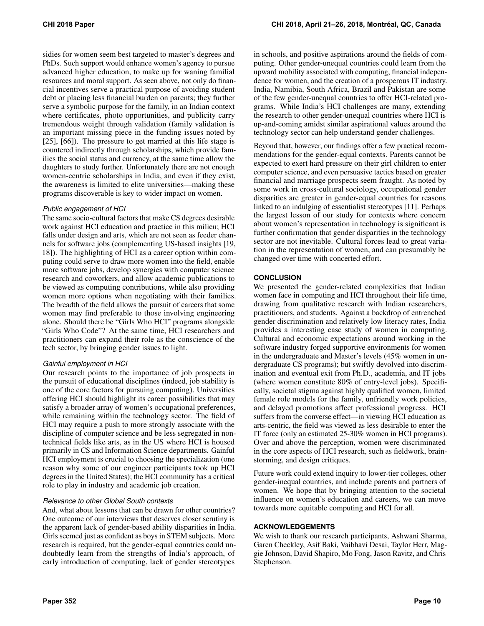sidies for women seem best targeted to master's degrees and PhDs. Such support would enhance women's agency to pursue advanced higher education, to make up for waning familial resources and moral support. As seen above, not only do financial incentives serve a practical purpose of avoiding student debt or placing less financial burden on parents; they further serve a symbolic purpose for the family, in an Indian context where certificates, photo opportunities, and publicity carry tremendous weight through validation (family validation is an important missing piece in the funding issues noted by [\[25\]](#page-10-37), [\[66\]](#page-11-9)). The pressure to get married at this life stage is countered indirectly through scholarships, which provide families the social status and currency, at the same time allow the daughters to study further. Unfortunately there are not enough women-centric scholarships in India, and even if they exist, the awareness is limited to elite universities—making these programs discoverable is key to wider impact on women.

## *Public engagement of HCI*

The same socio-cultural factors that make CS degrees desirable work against HCI education and practice in this milieu; HCI falls under design and arts, which are not seen as feeder channels for software jobs (complementing US-based insights [\[19,](#page-10-5) [18\]](#page-10-24)). The highlighting of HCI as a career option within computing could serve to draw more women into the field, enable more software jobs, develop synergies with computer science research and coworkers, and allow academic publications to be viewed as computing contributions, while also providing women more options when negotiating with their families. The breadth of the field allows the pursuit of careers that some women may find preferable to those involving engineering alone. Should there be "Girls Who HCI" programs alongside "Girls Who Code"? At the same time, HCI researchers and practitioners can expand their role as the conscience of the tech sector, by bringing gender issues to light.

#### *Gainful employment in HCI*

Our research points to the importance of job prospects in the pursuit of educational disciplines (indeed, job stability is one of the core factors for pursuing computing). Universities offering HCI should highlight its career possibilities that may satisfy a broader array of women's occupational preferences, while remaining within the technology sector. The field of HCI may require a push to more strongly associate with the discipline of computer science and be less segregated in nontechnical fields like arts, as in the US where HCI is housed primarily in CS and Information Science departments. Gainful HCI employment is crucial to choosing the specialization (one reason why some of our engineer participants took up HCI degrees in the United States); the HCI community has a critical role to play in industry and academic job creation.

#### *Relevance to other Global South contexts*

And, what about lessons that can be drawn for other countries? One outcome of our interviews that deserves closer scrutiny is the apparent lack of gender-based ability disparities in India. Girls seemed just as confident as boys in STEM subjects. More research is required, but the gender-equal countries could undoubtedly learn from the strengths of India's approach, of early introduction of computing, lack of gender stereotypes

in schools, and positive aspirations around the fields of computing. Other gender-unequal countries could learn from the upward mobility associated with computing, financial independence for women, and the creation of a prosperous IT industry. India, Namibia, South Africa, Brazil and Pakistan are some of the few gender-unequal countries to offer HCI-related programs. While India's HCI challenges are many, extending the research to other gender-unequal countries where HCI is up-and-coming amidst similar aspirational values around the technology sector can help understand gender challenges.

Beyond that, however, our findings offer a few practical recommendations for the gender-equal contexts. Parents cannot be expected to exert hard pressure on their girl children to enter computer science, and even persuasive tactics based on greater financial and marriage prospects seem fraught. As noted by some work in cross-cultural sociology, occupational gender disparities are greater in gender-equal countries for reasons linked to an indulging of essentialist stereotypes [\[11\]](#page-10-38). Perhaps the largest lesson of our study for contexts where concern about women's representation in technology is significant is further confirmation that gender disparities in the technology sector are not inevitable. Cultural forces lead to great variation in the representation of women, and can presumably be changed over time with concerted effort.

## **CONCLUSION**

We presented the gender-related complexities that Indian women face in computing and HCI throughout their life time, drawing from qualitative research with Indian researchers, practitioners, and students. Against a backdrop of entrenched gender discrimination and relatively low literacy rates, India provides a interesting case study of women in computing. Cultural and economic expectations around working in the software industry forged supportive environments for women in the undergraduate and Master's levels (45% women in undergraduate CS programs); but swiftly devolved into discrimination and eventual exit from Ph.D., academia, and IT jobs (where women constitute 80% of entry-level jobs). Specifically, societal stigma against highly qualified women, limited female role models for the family, unfriendly work policies, and delayed promotions affect professional progress. HCI suffers from the converse effect—in viewing HCI education as arts-centric, the field was viewed as less desirable to enter the IT force (only an estimated 25-30% women in HCI programs). Over and above the perception, women were discriminated in the core aspects of HCI research, such as fieldwork, brainstorming, and design critiques.

Future work could extend inquiry to lower-tier colleges, other gender-inequal countries, and include parents and partners of women. We hope that by bringing attention to the societal influence on women's education and careers, we can move towards more equitable computing and HCI for all.

# **ACKNOWLEDGEMENTS**

We wish to thank our research participants, Ashwani Sharma, Garen Checkley, Asif Baki, Vaibhavi Desai, Taylor Herr, Maggie Johnson, David Shapiro, Mo Fong, Jason Ravitz, and Chris Stephenson.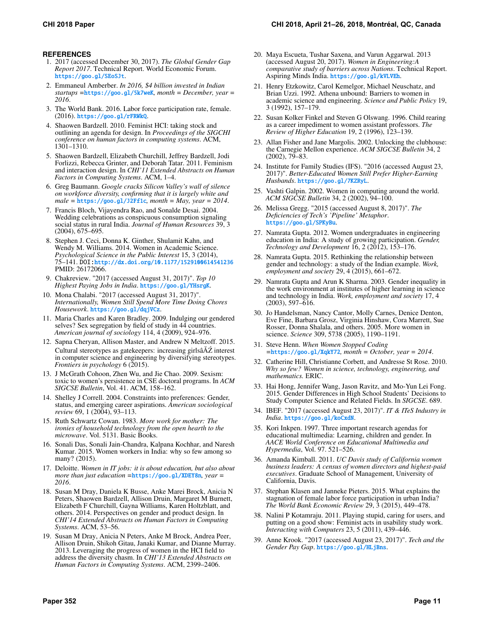## **REFERENCES**

- <span id="page-10-6"></span>1. 2017 (accessed December 30, 2017). *The Global Gender Gap Report 2017*. Technical Report. World Economic Forum. <https://goo.gl/SEoSJt>.
- <span id="page-10-26"></span>2. Emmaneul Amberber. *In 2016, \$4 billion invested in Indian startups =*<https://goo.gl/5k7weK>*, month = December, year = 2016*.
- <span id="page-10-13"></span>3. The World Bank. 2016. Labor force participation rate, female. (2016). <https://goo.gl/rFRWkQ>.
- <span id="page-10-22"></span>4. Shaowen Bardzell. 2010. Feminist HCI: taking stock and outlining an agenda for design. In *Proceedings of the SIGCHI conference on human factors in computing systems*. ACM, 1301–1310.
- <span id="page-10-21"></span>5. Shaowen Bardzell, Elizabeth Churchill, Jeffrey Bardzell, Jodi Forlizzi, Rebecca Grinter, and Deborah Tatar. 2011. Feminism and interaction design. In *CHI'11 Extended Abstracts on Human Factors in Computing Systems*. ACM, 1–4.
- <span id="page-10-1"></span>6. Greg Baumann. *Google cracks Silicon Valley's wall of silence on workforce diversity, confirming that it is largely white and male =* <https://goo.gl/J2Ff1c>*, month = May, year = 2014*.
- <span id="page-10-31"></span>7. Francis Bloch, Vijayendra Rao, and Sonalde Desai. 2004. Wedding celebrations as conspicuous consumption signaling social status in rural India. *Journal of Human Resources* 39, 3 (2004), 675–695.
- <span id="page-10-34"></span>8. Stephen J. Ceci, Donna K. Ginther, Shulamit Kahn, and Wendy M. Williams. 2014. Women in Academic Science. *Psychological Science in the Public Interest* 15, 3 (2014), 75–141. DOI:<http://dx.doi.org/10.1177/1529100614541236> PMID: 26172066.
- <span id="page-10-28"></span>9. Chakreview. "2017 (accessed August 31, 2017)". *Top 10 Highest Paying Jobs in India*. <https://goo.gl/YHsrgK>.
- <span id="page-10-36"></span>10. Mona Chalabi. "2017 (accessed August 31, 2017)". *Internationally, Women Still Spend More Time Doing Chores Housework*. <https://goo.gl/dqjVCz>.
- <span id="page-10-38"></span>11. Maria Charles and Karen Bradley. 2009. Indulging our gendered selves? Sex segregation by field of study in 44 countries. *American journal of sociology* 114, 4 (2009), 924–976.
- <span id="page-10-9"></span>12. Sapna Cheryan, Allison Master, and Andrew N Meltzoff. 2015. Cultural stereotypes as gatekeepers: increasing girls $\angle A\angle Z$  interest in computer science and engineering by diversifying stereotypes. *Frontiers in psychology* 6 (2015).
- <span id="page-10-11"></span>13. J McGrath Cohoon, Zhen Wu, and Jie Chao. 2009. Sexism: toxic to women's persistence in CSE doctoral programs. In *ACM SIGCSE Bulletin*, Vol. 41. ACM, 158–162.
- <span id="page-10-27"></span>14. Shelley J Correll. 2004. Constraints into preferences: Gender, status, and emerging career aspirations. *American sociological review* 69, 1 (2004), 93–113.
- <span id="page-10-19"></span>15. Ruth Schwartz Cowan. 1983. *More work for mother: The ironies of household technology from the open hearth to the microwave*. Vol. 5131. Basic Books.
- <span id="page-10-15"></span>16. Sonali Das, Sonali Jain-Chandra, Kalpana Kochhar, and Naresh Kumar. 2015. Women workers in India: why so few among so many? (2015).
- <span id="page-10-4"></span>17. Deloitte. *Women in IT jobs: it is about education, but also about more than just education =*<https://goo.gl/XDEY8n>*, year = 2016*.
- <span id="page-10-24"></span>18. Susan M Dray, Daniela K Busse, Anke Marei Brock, Anicia N Peters, Shaowen Bardzell, Allison Druin, Margaret M Burnett, Elizabeth F Churchill, Gayna Williams, Karen Holtzblatt, and others. 2014. Perspectives on gender and product design. In *CHI'14 Extended Abstracts on Human Factors in Computing Systems*. ACM, 53–56.
- <span id="page-10-5"></span>19. Susan M Dray, Anicia N Peters, Anke M Brock, Andrea Peer, Allison Druin, Shikoh Gitau, Janaki Kumar, and Dianne Murray. 2013. Leveraging the progress of women in the HCI field to address the diversity chasm. In *CHI'13 Extended Abstracts on Human Factors in Computing Systems*. ACM, 2399–2406.
- <span id="page-10-29"></span>20. Maya Escueta, Tushar Saxena, and Varun Aggarwal. 2013 (accessed August 20, 2017). *Women in Engineering:A comparative study of barriers across Nations*. Technical Report. Aspiring Minds India. <https://goo.gl/kVLVEh>.
- <span id="page-10-33"></span>21. Henry Etzkowitz, Carol Kemelgor, Michael Neuschatz, and Brian Uzzi. 1992. Athena unbound: Barriers to women in academic science and engineering. *Science and Public Policy* 19, 3 (1992), 157–179.
- <span id="page-10-12"></span>22. Susan Kolker Finkel and Steven G Olswang. 1996. Child rearing as a career impediment to women assistant professors. *The Review of Higher Education* 19, 2 (1996), 123–139.
- <span id="page-10-10"></span>23. Allan Fisher and Jane Margolis. 2002. Unlocking the clubhouse: the Carnegie Mellon experience. *ACM SIGCSE Bulletin* 34, 2  $(2002)$ ,  $79-83$ .
- <span id="page-10-30"></span>24. Institute for Family Studies (IFS). "2016 (accessed August 23, 2017)". *Better-Educated Women Still Prefer Higher-Earning Husbands*. <https://goo.gl/7KZRyL>.
- <span id="page-10-37"></span>25. Vashti Galpin. 2002. Women in computing around the world. *ACM SIGCSE Bulletin* 34, 2 (2002), 94–100.
- <span id="page-10-2"></span>26. Melissa Gregg. "2015 (accessed August 8, 2017)". *The Deficiencies of Tech's 'Pipeline' Metaphor*. <https://goo.gl/SPKyBu>.
- <span id="page-10-16"></span>27. Namrata Gupta. 2012. Women undergraduates in engineering education in India: A study of growing participation. *Gender, Technology and Development* 16, 2 (2012), 153–176.
- <span id="page-10-17"></span>28. Namrata Gupta. 2015. Rethinking the relationship between gender and technology: a study of the Indian example. *Work, employment and society* 29, 4 (2015), 661–672.
- <span id="page-10-18"></span>29. Namrata Gupta and Arun K Sharma. 2003. Gender inequality in the work environment at institutes of higher learning in science and technology in India. *Work, employment and society* 17, 4  $(2003), 597 - 616.$
- <span id="page-10-32"></span>30. Jo Handelsman, Nancy Cantor, Molly Carnes, Denice Denton, Eve Fine, Barbara Grosz, Virginia Hinshaw, Cora Marrett, Sue Rosser, Donna Shalala, and others. 2005. More women in science. *Science* 309, 5738 (2005), 1190–1191.
- <span id="page-10-3"></span>31. Steve Henn. *When Women Stopped Coding =*<https://goo.gl/XqkY72>*, month = October, year = 2014*.
- <span id="page-10-7"></span>32. Catherine Hill, Christianne Corbett, and Andresse St Rose. 2010. *Why so few? Women in science, technology, engineering, and mathematics.* ERIC.
- <span id="page-10-8"></span>33. Hai Hong, Jennifer Wang, Jason Ravitz, and Mo-Yun Lei Fong. 2015. Gender Differences in High School Students' Decisions to Study Computer Science and Related Fields. In *SIGCSE*. 689.
- <span id="page-10-25"></span>34. IBEF. "2017 (accessed August 23, 2017)". *IT & ITeS Industry in India*. <https://goo.gl/koCxdN>.
- <span id="page-10-23"></span>35. Kori Inkpen. 1997. Three important research agendas for educational multimedia: Learning, children and gender. In *AACE World Conference on Educational Multimedia and Hypermedia*, Vol. 97. 521–526.
- <span id="page-10-0"></span>36. Amanda Kimball. 2011. *UC Davis study of California women business leaders: A census of women directors and highest-paid executives*. Graduate School of Management, University of California, Davis.
- <span id="page-10-14"></span>37. Stephan Klasen and Janneke Pieters. 2015. What explains the stagnation of female labor force participation in urban India? *The World Bank Economic Review* 29, 3 (2015), 449–478.
- <span id="page-10-20"></span>38. Nalini P Kotamraju. 2011. Playing stupid, caring for users, and putting on a good show: Feminist acts in usability study work. *Interacting with Computers* 23, 5 (2011), 439–446.
- <span id="page-10-35"></span>39. Anne Krook. "2017 (accessed August 23, 2017)". *Tech and the Gender Pay Gap*. <https://goo.gl/HLjBns>.